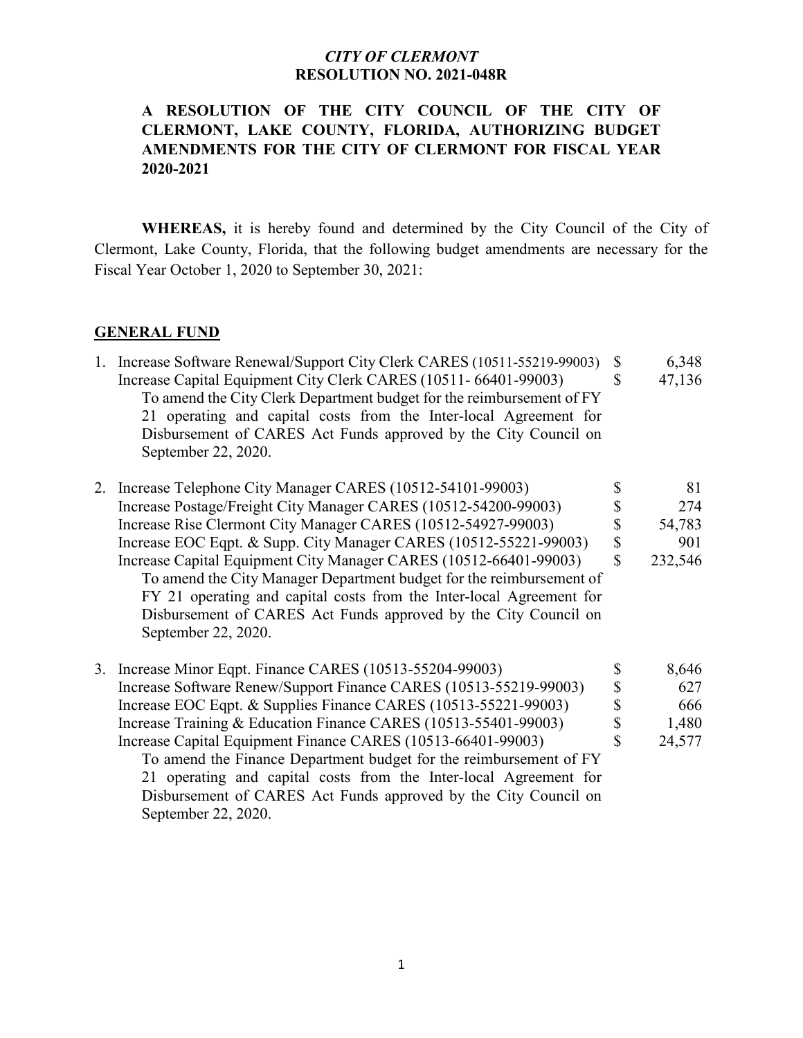### **A RESOLUTION OF THE CITY COUNCIL OF THE CITY OF CLERMONT, LAKE COUNTY, FLORIDA, AUTHORIZING BUDGET AMENDMENTS FOR THE CITY OF CLERMONT FOR FISCAL YEAR 2020-2021**

**WHEREAS,** it is hereby found and determined by the City Council of the City of Clermont, Lake County, Florida, that the following budget amendments are necessary for the Fiscal Year October 1, 2020 to September 30, 2021:

#### **GENERAL FUND**

| 1. Increase Software Renewal/Support City Clerk CARES (10511-55219-99003) \$ |    | 6,348  |
|------------------------------------------------------------------------------|----|--------|
| Increase Capital Equipment City Clerk CARES (10511-66401-99003)              |    | 47,136 |
| To amend the City Clerk Department budget for the reimbursement of FY        |    |        |
| 21 operating and capital costs from the Inter-local Agreement for            |    |        |
| Disbursement of CARES Act Funds approved by the City Council on              |    |        |
| September 22, 2020.                                                          |    |        |
| 2. Increase Telephone City Manager CARES (10512-54101-99003)                 | S  | 81     |
| Increase Postage/Freight City Manager CARES (10512-54200-99003)              |    | 274    |
| Increase Rise Clermont City Manager CARES (10512-54927-99003)                |    | 54,783 |
| Increase EOC Eqpt. & Supp. City Manager CARES (10512-55221-99003)            | \$ | 901    |

Increase Capital Equipment City Manager CARES (10512-66401-99003) \$ 232,546 To amend the City Manager Department budget for the reimbursement of FY 21 operating and capital costs from the Inter-local Agreement for Disbursement of CARES Act Funds approved by the City Council on September 22, 2020.

|  | 3. Increase Minor Eqpt. Finance CARES (10513-55204-99003)          |    | 8,646  |
|--|--------------------------------------------------------------------|----|--------|
|  | Increase Software Renew/Support Finance CARES (10513-55219-99003)  | S  | 627    |
|  | Increase EOC Eqpt. & Supplies Finance CARES (10513-55221-99003)    | \$ | 666    |
|  | Increase Training & Education Finance CARES (10513-55401-99003)    | \$ | 1,480  |
|  | Increase Capital Equipment Finance CARES (10513-66401-99003)       | \$ | 24,577 |
|  | To amend the Finance Department budget for the reimbursement of FY |    |        |
|  | 21 operating and capital costs from the Inter-local Agreement for  |    |        |
|  | Disbursement of CARES Act Funds approved by the City Council on    |    |        |
|  | September 22, 2020.                                                |    |        |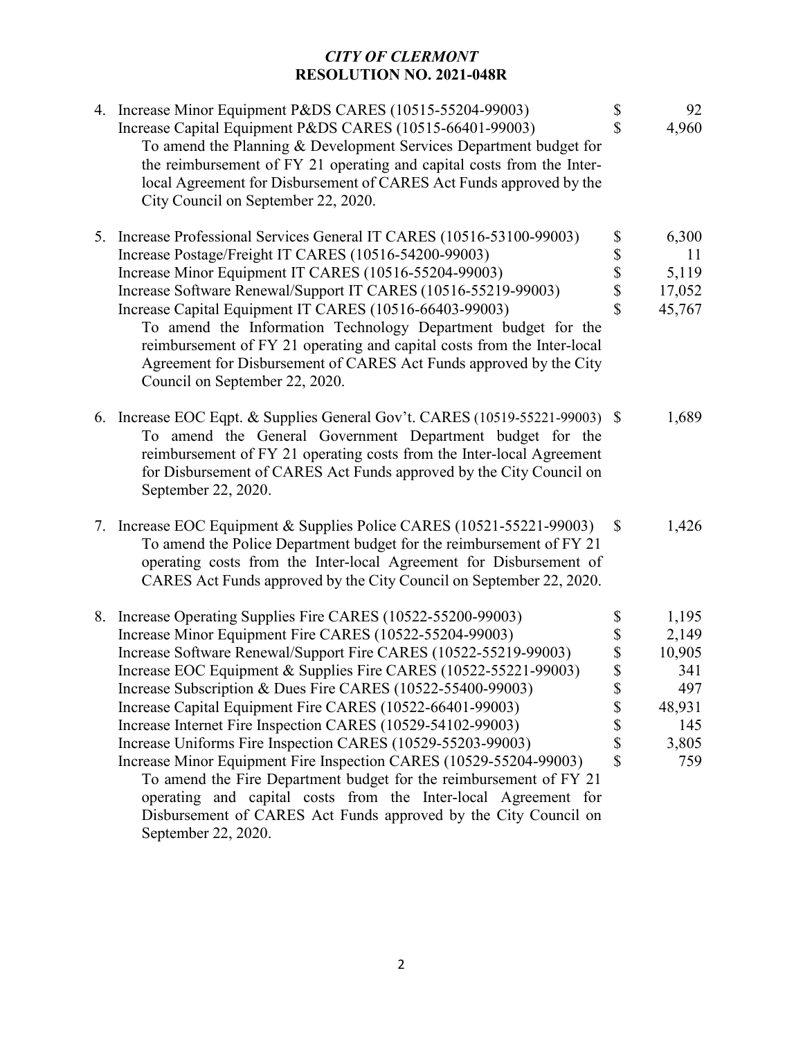| 4. Increase Minor Equipment P&DS CARES (10515-55204-99003)<br>Increase Capital Equipment P&DS CARES (10515-66401-99003)<br>To amend the Planning & Development Services Department budget for<br>the reimbursement of FY 21 operating and capital costs from the Inter-<br>local Agreement for Disbursement of CARES Act Funds approved by the<br>City Council on September 22, 2020.                                                                                                                                                                                     | \$<br>\$                                                                                                                      | 92<br>4,960                              |
|---------------------------------------------------------------------------------------------------------------------------------------------------------------------------------------------------------------------------------------------------------------------------------------------------------------------------------------------------------------------------------------------------------------------------------------------------------------------------------------------------------------------------------------------------------------------------|-------------------------------------------------------------------------------------------------------------------------------|------------------------------------------|
| 5. Increase Professional Services General IT CARES (10516-53100-99003)<br>Increase Postage/Freight IT CARES (10516-54200-99003)<br>Increase Minor Equipment IT CARES (10516-55204-99003)<br>Increase Software Renewal/Support IT CARES (10516-55219-99003)<br>Increase Capital Equipment IT CARES (10516-66403-99003)<br>To amend the Information Technology Department budget for the<br>reimbursement of FY 21 operating and capital costs from the Inter-local<br>Agreement for Disbursement of CARES Act Funds approved by the City<br>Council on September 22, 2020. | $\boldsymbol{\mathsf{S}}$<br>$\begin{array}{c} \mathbb{S} \\ \mathbb{S} \\ \mathbb{S} \end{array}$<br>$\overline{\mathbf{S}}$ | 6,300<br>11<br>5,119<br>17,052<br>45,767 |
| 6. Increase EOC Eqpt. & Supplies General Gov't. CARES (10519-55221-99003) \$<br>To amend the General Government Department budget for the<br>reimbursement of FY 21 operating costs from the Inter-local Agreement<br>for Disbursement of CARES Act Funds approved by the City Council on<br>September 22, 2020.                                                                                                                                                                                                                                                          |                                                                                                                               | 1,689                                    |
| 7. Increase EOC Equipment & Supplies Police CARES (10521-55221-99003)<br>To amend the Police Department budget for the reimbursement of FY 21<br>operating costs from the Inter-local Agreement for Disbursement of<br>CARES Act Funds approved by the City Council on September 22, 2020.                                                                                                                                                                                                                                                                                | $\mathbb{S}$                                                                                                                  | 1,426                                    |
| 8. Increase Operating Supplies Fire CARES (10522-55200-99003)                                                                                                                                                                                                                                                                                                                                                                                                                                                                                                             | \$                                                                                                                            | 1,195                                    |
| Increase Minor Equipment Fire CARES (10522-55204-99003)                                                                                                                                                                                                                                                                                                                                                                                                                                                                                                                   | \$                                                                                                                            | 2,149                                    |
| Increase Software Renewal/Support Fire CARES (10522-55219-99003)                                                                                                                                                                                                                                                                                                                                                                                                                                                                                                          | $\frac{1}{3}$                                                                                                                 | 10,905                                   |
| Increase EOC Equipment & Supplies Fire CARES (10522-55221-99003)                                                                                                                                                                                                                                                                                                                                                                                                                                                                                                          |                                                                                                                               | 341                                      |
| Increase Subscription & Dues Fire CARES (10522-55400-99003)                                                                                                                                                                                                                                                                                                                                                                                                                                                                                                               | \$                                                                                                                            | 497                                      |
| Increase Capital Equipment Fire CARES (10522-66401-99003)                                                                                                                                                                                                                                                                                                                                                                                                                                                                                                                 | \$                                                                                                                            | 48,931                                   |
| Increase Internet Fire Inspection CARES (10529-54102-99003)                                                                                                                                                                                                                                                                                                                                                                                                                                                                                                               | \$                                                                                                                            | 145                                      |
| Increase Uniforms Fire Inspection CARES (10529-55203-99003)                                                                                                                                                                                                                                                                                                                                                                                                                                                                                                               | \$                                                                                                                            | 3,805                                    |
| Increase Minor Equipment Fire Inspection CARES (10529-55204-99003)<br>To amend the Fire Department budget for the reimbursement of FY 21<br>operating and capital costs from the Inter-local Agreement for<br>Disbursement of CARES Act Funds approved by the City Council on<br>September 22, 2020.                                                                                                                                                                                                                                                                      | $\mathbb{S}$                                                                                                                  | 759                                      |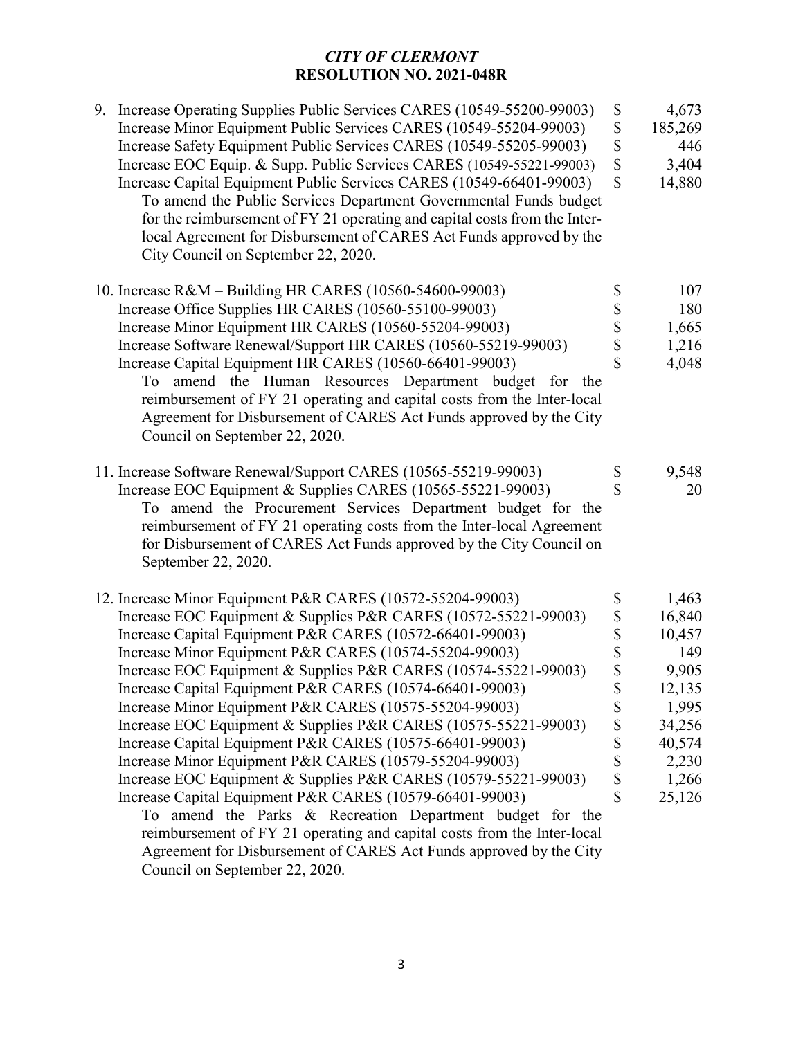| 9. Increase Operating Supplies Public Services CARES (10549-55200-99003)<br>Increase Minor Equipment Public Services CARES (10549-55204-99003)<br>Increase Safety Equipment Public Services CARES (10549-55205-99003)<br>Increase EOC Equip. & Supp. Public Services CARES (10549-55221-99003)<br>Increase Capital Equipment Public Services CARES (10549-66401-99003)<br>To amend the Public Services Department Governmental Funds budget<br>for the reimbursement of FY 21 operating and capital costs from the Inter-<br>local Agreement for Disbursement of CARES Act Funds approved by the<br>City Council on September 22, 2020.                                                                                                                                                                                                                                                                                                                                            | \$<br>$\boldsymbol{\mathsf{S}}$<br>\$<br>$\mathbb{S}$<br>$\mathbb{S}$                                     | 4,673<br>185,269<br>446<br>3,404<br>14,880                                                                   |
|------------------------------------------------------------------------------------------------------------------------------------------------------------------------------------------------------------------------------------------------------------------------------------------------------------------------------------------------------------------------------------------------------------------------------------------------------------------------------------------------------------------------------------------------------------------------------------------------------------------------------------------------------------------------------------------------------------------------------------------------------------------------------------------------------------------------------------------------------------------------------------------------------------------------------------------------------------------------------------|-----------------------------------------------------------------------------------------------------------|--------------------------------------------------------------------------------------------------------------|
| 10. Increase R&M - Building HR CARES (10560-54600-99003)<br>Increase Office Supplies HR CARES (10560-55100-99003)<br>Increase Minor Equipment HR CARES (10560-55204-99003)<br>Increase Software Renewal/Support HR CARES (10560-55219-99003)<br>Increase Capital Equipment HR CARES (10560-66401-99003)<br>To amend the Human Resources Department budget for the<br>reimbursement of FY 21 operating and capital costs from the Inter-local<br>Agreement for Disbursement of CARES Act Funds approved by the City<br>Council on September 22, 2020.                                                                                                                                                                                                                                                                                                                                                                                                                               | \$<br>\$<br>\$<br>\$                                                                                      | 107<br>180<br>1,665<br>1,216<br>4,048                                                                        |
| 11. Increase Software Renewal/Support CARES (10565-55219-99003)<br>Increase EOC Equipment & Supplies CARES (10565-55221-99003)<br>To amend the Procurement Services Department budget for the<br>reimbursement of FY 21 operating costs from the Inter-local Agreement<br>for Disbursement of CARES Act Funds approved by the City Council on<br>September 22, 2020.                                                                                                                                                                                                                                                                                                                                                                                                                                                                                                                                                                                                               | \$<br>\$                                                                                                  | 9,548<br>20                                                                                                  |
| 12. Increase Minor Equipment P&R CARES (10572-55204-99003)<br>Increase EOC Equipment & Supplies P&R CARES (10572-55221-99003)<br>Increase Capital Equipment P&R CARES (10572-66401-99003)<br>Increase Minor Equipment P&R CARES (10574-55204-99003)<br>Increase EOC Equipment & Supplies P&R CARES (10574-55221-99003)<br>Increase Capital Equipment P&R CARES (10574-66401-99003)<br>Increase Minor Equipment P&R CARES (10575-55204-99003)<br>Increase EOC Equipment & Supplies P&R CARES (10575-55221-99003)<br>Increase Capital Equipment P&R CARES (10575-66401-99003)<br>Increase Minor Equipment P&R CARES (10579-55204-99003)<br>Increase EOC Equipment & Supplies P&R CARES (10579-55221-99003)<br>Increase Capital Equipment P&R CARES (10579-66401-99003)<br>To amend the Parks & Recreation Department budget for the<br>reimbursement of FY 21 operating and capital costs from the Inter-local<br>Agreement for Disbursement of CARES Act Funds approved by the City | \$<br>$\frac{1}{3}$<br>\$<br>\$<br>\$<br>\$<br>\$<br>\$<br>\$<br>$\boldsymbol{\mathsf{S}}$<br>$\mathbf S$ | 1,463<br>16,840<br>10,457<br>149<br>9,905<br>12,135<br>1,995<br>34,256<br>40,574<br>2,230<br>1,266<br>25,126 |
|                                                                                                                                                                                                                                                                                                                                                                                                                                                                                                                                                                                                                                                                                                                                                                                                                                                                                                                                                                                    | Council on September 22, 2020.                                                                            |                                                                                                              |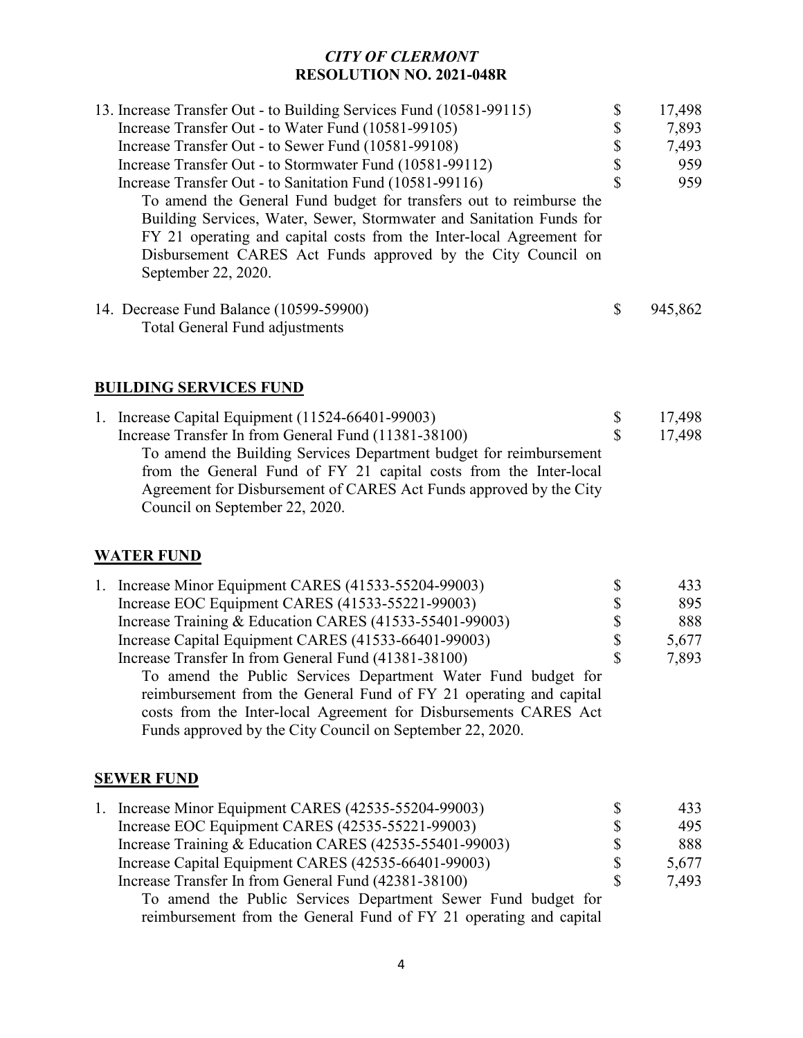| 13. Increase Transfer Out - to Building Services Fund (10581-99115)  | J  | 17,498  |
|----------------------------------------------------------------------|----|---------|
| Increase Transfer Out - to Water Fund (10581-99105)                  | \$ | 7,893   |
| Increase Transfer Out - to Sewer Fund (10581-99108)                  | S  | 7,493   |
| Increase Transfer Out - to Stormwater Fund (10581-99112)             | S  | 959     |
| Increase Transfer Out - to Sanitation Fund (10581-99116)             | S  | 959     |
| To amend the General Fund budget for transfers out to reimburse the  |    |         |
| Building Services, Water, Sewer, Stormwater and Sanitation Funds for |    |         |
| FY 21 operating and capital costs from the Inter-local Agreement for |    |         |
| Disbursement CARES Act Funds approved by the City Council on         |    |         |
| September 22, 2020.                                                  |    |         |
| 14. Decrease Fund Balance (10599-59900)                              | S  | 945,862 |
| Total General Fund adjustments                                       |    |         |

### **BUILDING SERVICES FUND**

|  | 1. Increase Capital Equipment (11524-66401-99003)                  | 17,498 |
|--|--------------------------------------------------------------------|--------|
|  | Increase Transfer In from General Fund (11381-38100)               | 17,498 |
|  | To amend the Building Services Department budget for reimbursement |        |
|  | from the General Fund of FY 21 capital costs from the Inter-local  |        |
|  | Agreement for Disbursement of CARES Act Funds approved by the City |        |
|  | Council on September 22, 2020.                                     |        |

### **WATER FUND**

| 1. Increase Minor Equipment CARES (41533-55204-99003)              | S  | 433   |
|--------------------------------------------------------------------|----|-------|
| Increase EOC Equipment CARES (41533-55221-99003)                   | \$ | 895   |
| Increase Training & Education CARES (41533-55401-99003)            | \$ | 888   |
| Increase Capital Equipment CARES (41533-66401-99003)               | \$ | 5,677 |
| Increase Transfer In from General Fund (41381-38100)               | S  | 7,893 |
| To amend the Public Services Department Water Fund budget for      |    |       |
| reimbursement from the General Fund of FY 21 operating and capital |    |       |
| costs from the Inter-local Agreement for Disbursements CARES Act   |    |       |
| Funds approved by the City Council on September 22, 2020.          |    |       |
|                                                                    |    |       |

#### **SEWER FUND**

|  | 1. Increase Minor Equipment CARES (42535-55204-99003)         |    | 433   |
|--|---------------------------------------------------------------|----|-------|
|  | Increase EOC Equipment CARES (42535-55221-99003)              | S  | 495   |
|  | Increase Training & Education CARES (42535-55401-99003)       | S  | 888   |
|  | Increase Capital Equipment CARES (42535-66401-99003)          | S  | 5,677 |
|  | Increase Transfer In from General Fund (42381-38100)          | -S | 7.493 |
|  | To amend the Public Services Department Sewer Fund budget for |    |       |

To amend the Public Services Department Sewer Fund budget for reimbursement from the General Fund of FY 21 operating and capital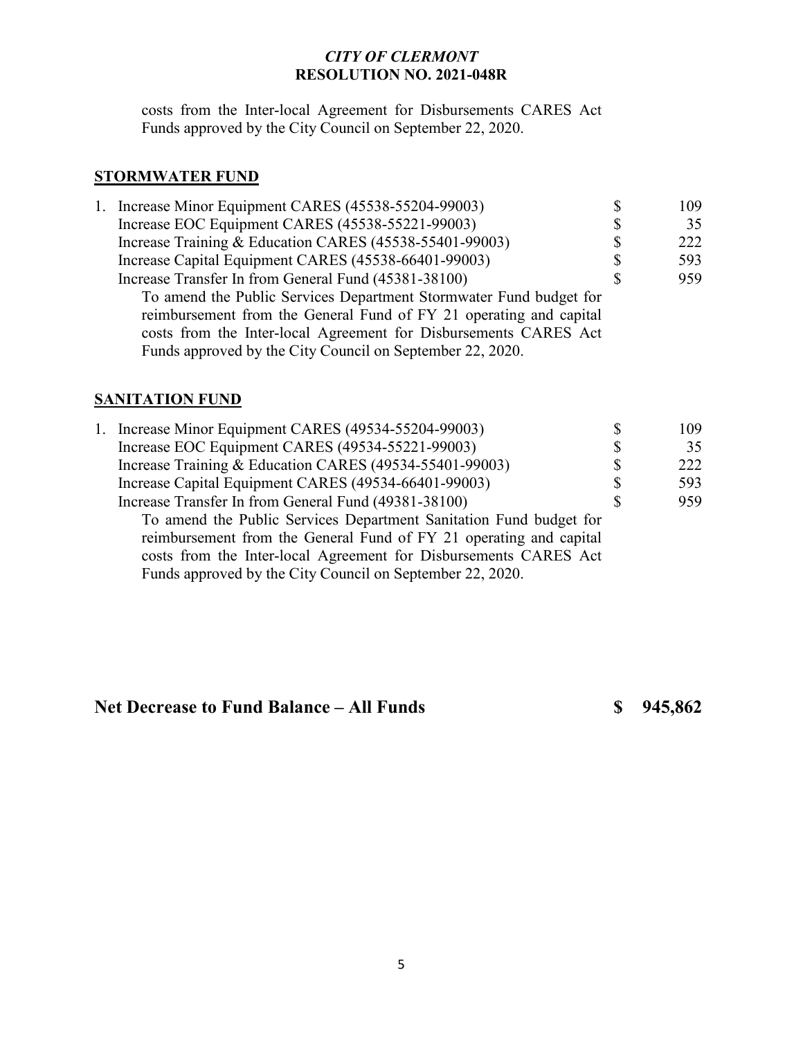costs from the Inter-local Agreement for Disbursements CARES Act Funds approved by the City Council on September 22, 2020.

# **STORMWATER FUND**

|  | 1. Increase Minor Equipment CARES (45538-55204-99003)                                                                                                                                               | \$ | 109 |
|--|-----------------------------------------------------------------------------------------------------------------------------------------------------------------------------------------------------|----|-----|
|  | Increase EOC Equipment CARES (45538-55221-99003)                                                                                                                                                    | \$ | 35  |
|  | Increase Training & Education CARES (45538-55401-99003)                                                                                                                                             | \$ | 222 |
|  | Increase Capital Equipment CARES (45538-66401-99003)                                                                                                                                                | \$ | 593 |
|  | Increase Transfer In from General Fund (45381-38100)                                                                                                                                                | S  | 959 |
|  | To amend the Public Services Department Stormwater Fund budget for                                                                                                                                  |    |     |
|  | reimbursement from the General Fund of FY 21 operating and capital<br>costs from the Inter-local Agreement for Disbursements CARES Act<br>Funds approved by the City Council on September 22, 2020. |    |     |
|  |                                                                                                                                                                                                     |    |     |

### **SANITATION FUND**

| 1. Increase Minor Equipment CARES (49534-55204-99003)                                                                                                                                                                                                                     | \$ | 109 |
|---------------------------------------------------------------------------------------------------------------------------------------------------------------------------------------------------------------------------------------------------------------------------|----|-----|
| Increase EOC Equipment CARES (49534-55221-99003)                                                                                                                                                                                                                          | \$ | 35  |
| Increase Training & Education CARES (49534-55401-99003)                                                                                                                                                                                                                   | \$ | 222 |
| Increase Capital Equipment CARES (49534-66401-99003)                                                                                                                                                                                                                      | \$ | 593 |
| Increase Transfer In from General Fund (49381-38100)                                                                                                                                                                                                                      | S  | 959 |
| To amend the Public Services Department Sanitation Fund budget for<br>reimbursement from the General Fund of FY 21 operating and capital<br>costs from the Inter-local Agreement for Disbursements CARES Act<br>Funds approved by the City Council on September 22, 2020. |    |     |

# **Net Decrease to Fund Balance – All Funds \$ 945,862**